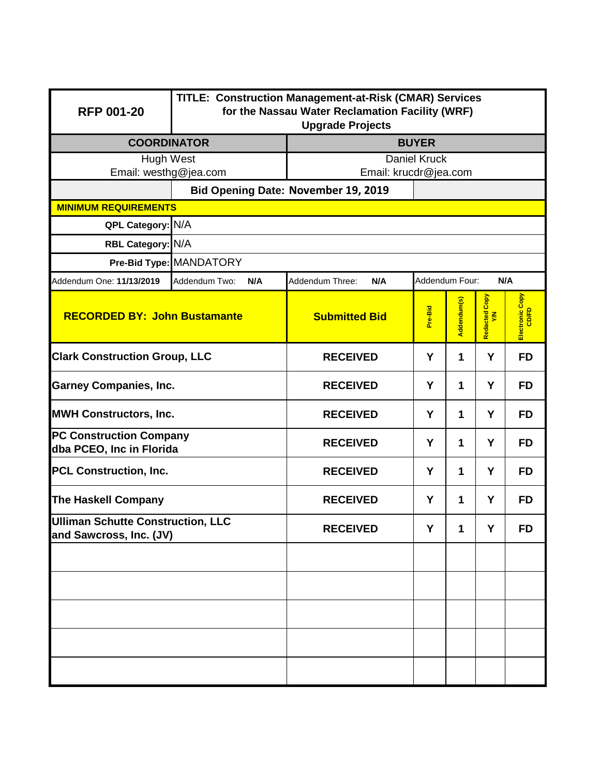| <b>RFP 001-20</b>                                                   | TITLE: Construction Management-at-Risk (CMAR) Services<br>for the Nassau Water Reclamation Facility (WRF)<br><b>Upgrade Projects</b> |                                                 |         |              |                      |                          |  |  |
|---------------------------------------------------------------------|--------------------------------------------------------------------------------------------------------------------------------------|-------------------------------------------------|---------|--------------|----------------------|--------------------------|--|--|
| <b>COORDINATOR</b>                                                  |                                                                                                                                      | <b>BUYER</b>                                    |         |              |                      |                          |  |  |
| Hugh West<br>Email: westhg@jea.com                                  |                                                                                                                                      | <b>Daniel Kruck</b>                             |         |              |                      |                          |  |  |
|                                                                     |                                                                                                                                      | Email: krucdr@jea.com                           |         |              |                      |                          |  |  |
| <b>MINIMUM REQUIREMENTS</b>                                         | Bid Opening Date: November 19, 2019                                                                                                  |                                                 |         |              |                      |                          |  |  |
| QPL Category: N/A                                                   |                                                                                                                                      |                                                 |         |              |                      |                          |  |  |
| RBL Category: N/A                                                   |                                                                                                                                      |                                                 |         |              |                      |                          |  |  |
|                                                                     | Pre-Bid Type: MANDATORY                                                                                                              |                                                 |         |              |                      |                          |  |  |
| Addendum One: 11/13/2019                                            | Addendum Two:<br>N/A                                                                                                                 | Addendum Four:<br>N/A<br>Addendum Three:<br>N/A |         |              |                      |                          |  |  |
| <b>RECORDED BY: John Bustamante</b>                                 |                                                                                                                                      | <b>Submitted Bid</b>                            | Pre-Bid | Addendum(s)  | Redacted Copy<br>Y/N | Electronic Copy<br>CD/FD |  |  |
| <b>Clark Construction Group, LLC</b>                                |                                                                                                                                      | <b>RECEIVED</b>                                 | Y       | 1            | Y                    | <b>FD</b>                |  |  |
| <b>Garney Companies, Inc.</b>                                       |                                                                                                                                      | <b>RECEIVED</b>                                 | Y       | 1            | Y                    | <b>FD</b>                |  |  |
| <b>MWH Constructors, Inc.</b>                                       |                                                                                                                                      | <b>RECEIVED</b>                                 | Y       | 1            | Y                    | <b>FD</b>                |  |  |
| <b>PC Construction Company</b><br>dba PCEO, Inc in Florida          |                                                                                                                                      | <b>RECEIVED</b>                                 | Y       | $\mathbf 1$  | Y                    | <b>FD</b>                |  |  |
| <b>PCL Construction, Inc.</b>                                       |                                                                                                                                      | <b>RECEIVED</b>                                 | Y       | $\mathbf{1}$ | Y                    | <b>FD</b>                |  |  |
| <b>The Haskell Company</b>                                          |                                                                                                                                      | <b>RECEIVED</b>                                 | Y       | $\mathbf 1$  | Y                    | <b>FD</b>                |  |  |
| <b>Ulliman Schutte Construction, LLC</b><br>and Sawcross, Inc. (JV) |                                                                                                                                      | <b>RECEIVED</b>                                 | Y       | 1            | Y                    | FD                       |  |  |
|                                                                     |                                                                                                                                      |                                                 |         |              |                      |                          |  |  |
|                                                                     |                                                                                                                                      |                                                 |         |              |                      |                          |  |  |
|                                                                     |                                                                                                                                      |                                                 |         |              |                      |                          |  |  |
|                                                                     |                                                                                                                                      |                                                 |         |              |                      |                          |  |  |
|                                                                     |                                                                                                                                      |                                                 |         |              |                      |                          |  |  |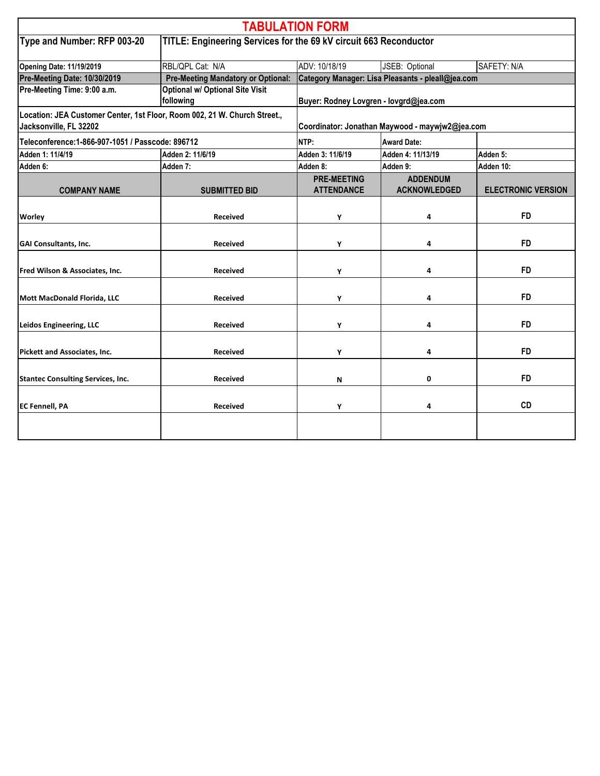| <b>TABULATION FORM</b>                                                                              |                                                                   |                                                   |                                        |                           |  |  |
|-----------------------------------------------------------------------------------------------------|-------------------------------------------------------------------|---------------------------------------------------|----------------------------------------|---------------------------|--|--|
| Type and Number: RFP 003-20                                                                         | TITLE: Engineering Services for the 69 kV circuit 663 Reconductor |                                                   |                                        |                           |  |  |
| <b>Opening Date: 11/19/2019</b>                                                                     | RBL/QPL Cat: N/A                                                  | ADV: 10/18/19                                     | JSEB: Optional                         | SAFETY: N/A               |  |  |
| Pre-Meeting Date: 10/30/2019                                                                        | <b>Pre-Meeting Mandatory or Optional:</b>                         | Category Manager: Lisa Pleasants - pleall@jea.com |                                        |                           |  |  |
| Pre-Meeting Time: 9:00 a.m.                                                                         | <b>Optional w/ Optional Site Visit</b><br>following               | Buyer: Rodney Lovgren - lovgrd@jea.com            |                                        |                           |  |  |
| Location: JEA Customer Center, 1st Floor, Room 002, 21 W. Church Street.,<br>Jacksonville, FL 32202 |                                                                   | Coordinator: Jonathan Maywood - maywjw2@jea.com   |                                        |                           |  |  |
| Teleconference: 1-866-907-1051 / Passcode: 896712                                                   |                                                                   | NTP:                                              | <b>Award Date:</b>                     |                           |  |  |
| Adden 1: 11/4/19                                                                                    | Adden 2: 11/6/19                                                  | Adden 3: 11/6/19                                  | Adden 4: 11/13/19                      | Adden 5:                  |  |  |
| Adden 6:                                                                                            | Adden 7:                                                          | Adden 8:                                          | Adden 9:                               | Adden 10:                 |  |  |
| <b>COMPANY NAME</b>                                                                                 | <b>SUBMITTED BID</b>                                              | <b>PRE-MEETING</b><br><b>ATTENDANCE</b>           | <b>ADDENDUM</b><br><b>ACKNOWLEDGED</b> | <b>ELECTRONIC VERSION</b> |  |  |
| Worley                                                                                              | <b>Received</b>                                                   | Υ                                                 | 4                                      | <b>FD</b>                 |  |  |
| <b>GAI Consultants, Inc.</b>                                                                        | <b>Received</b>                                                   | Υ                                                 | 4                                      | <b>FD</b>                 |  |  |
| Fred Wilson & Associates, Inc.                                                                      | <b>Received</b>                                                   | Υ                                                 | 4                                      | <b>FD</b>                 |  |  |
| Mott MacDonald Florida, LLC                                                                         | <b>Received</b>                                                   | Υ                                                 | 4                                      | <b>FD</b>                 |  |  |
| Leidos Engineering, LLC                                                                             | <b>Received</b>                                                   | Υ                                                 | 4                                      | <b>FD</b>                 |  |  |
| <b>Pickett and Associates, Inc.</b>                                                                 | <b>Received</b>                                                   | Υ                                                 | 4                                      | <b>FD</b>                 |  |  |
| <b>Stantec Consulting Services, Inc.</b>                                                            | <b>Received</b>                                                   | И                                                 | 0                                      | <b>FD</b>                 |  |  |
| <b>EC Fennell, PA</b>                                                                               | <b>Received</b>                                                   | Υ                                                 | 4                                      | <b>CD</b>                 |  |  |
|                                                                                                     |                                                                   |                                                   |                                        |                           |  |  |